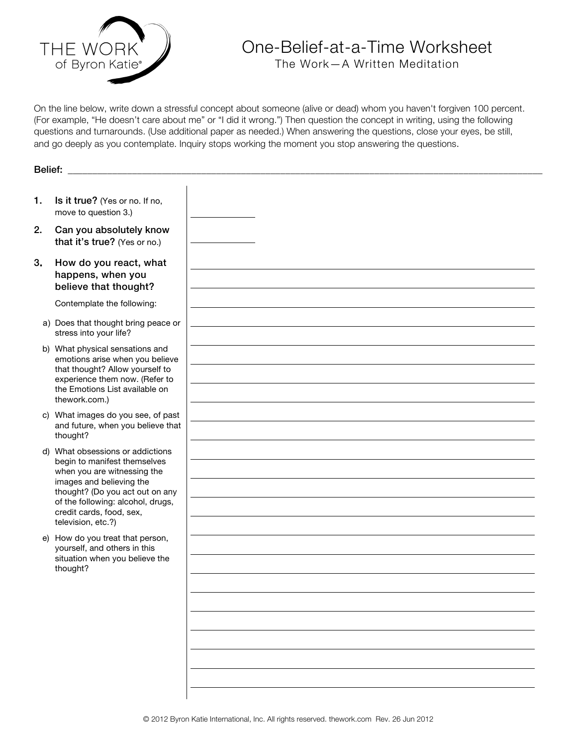

## One-Belief-at-a-Time Worksheet

The Work—A Written Meditation

On the line below, write down a stressful concept about someone (alive or dead) whom you haven't forgiven 100 percent. (For example, "He doesn't care about me" or "I did it wrong.") Then question the concept in writing, using the following questions and turnarounds. (Use additional paper as needed.) When answering the questions, close your eyes, be still, and go deeply as you contemplate. Inquiry stops working the moment you stop answering the questions.

| Belief: |                                                                                                                                                                                                                                                       |  |
|---------|-------------------------------------------------------------------------------------------------------------------------------------------------------------------------------------------------------------------------------------------------------|--|
| 1.      | Is it true? (Yes or no. If no,<br>move to question 3.)                                                                                                                                                                                                |  |
| 2.      | Can you absolutely know<br>that it's true? (Yes or no.)                                                                                                                                                                                               |  |
| 3.      | How do you react, what<br>happens, when you<br>believe that thought?                                                                                                                                                                                  |  |
|         | Contemplate the following:                                                                                                                                                                                                                            |  |
|         | a) Does that thought bring peace or<br>stress into your life?                                                                                                                                                                                         |  |
|         | b) What physical sensations and<br>emotions arise when you believe<br>that thought? Allow yourself to<br>experience them now. (Refer to<br>the Emotions List available on<br>thework.com.)                                                            |  |
|         | c) What images do you see, of past<br>and future, when you believe that<br>thought?                                                                                                                                                                   |  |
|         | d) What obsessions or addictions<br>begin to manifest themselves<br>when you are witnessing the<br>images and believing the<br>thought? (Do you act out on any<br>of the following: alcohol, drugs,<br>credit cards, food, sex,<br>television, etc.?) |  |
|         | e) How do you treat that person,<br>yourself, and others in this<br>situation when you believe the<br>thought?                                                                                                                                        |  |